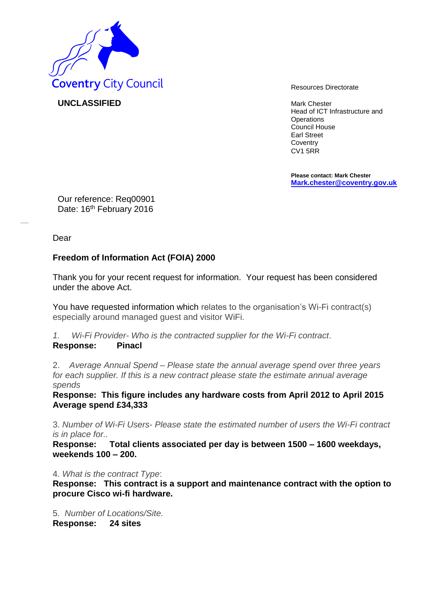

**UNCLASSIFIED** Mark Chester

Head of ICT Infrastructure and **Operations** Council House Earl Street **Coventry** CV1 5RR

**Please contact: Mark Chester [Mark.chester@coventry.gov.uk](mailto:Mark.chester@coventry.gov.uk)**

Our reference: Req00901 Date: 16<sup>th</sup> February 2016

Dear

## **Freedom of Information Act (FOIA) 2000**

Thank you for your recent request for information. Your request has been considered under the above Act.

You have requested information which relates to the organisation's Wi-Fi contract(s) especially around managed guest and visitor WiFi.

*1. Wi-Fi Provider- Who is the contracted supplier for the Wi-Fi contract*. **Response: Pinacl**

2. *Average Annual Spend – Please state the annual average spend over three years for each supplier. If this is a new contract please state the estimate annual average spends* 

**Response: This figure includes any hardware costs from April 2012 to April 2015 Average spend £34,333** 

3. *Number of Wi-Fi Users- Please state the estimated number of users the Wi-Fi contract is in place for..* 

**Response: Total clients associated per day is between 1500 – 1600 weekdays, weekends 100 – 200.** 

## 4. *What is the contract Type*:

**Response: This contract is a support and maintenance contract with the option to procure Cisco wi-fi hardware.**

5. *Number of Locations/Site.*  **Response: 24 sites**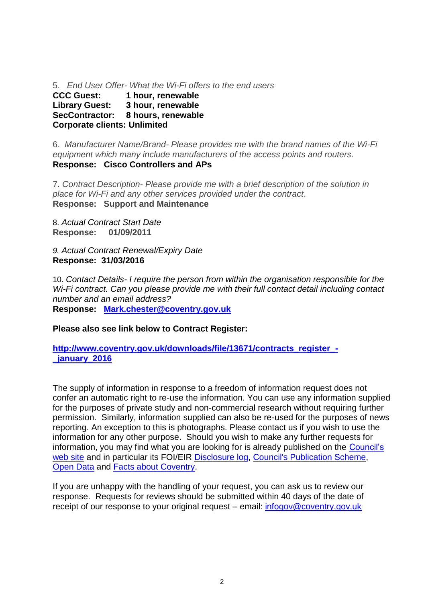5. *End User Offer- What the Wi-Fi offers to the end users*

**CCC Guest: 1 hour, renewable Library Guest: 3 hour, renewable SecContractor: 8 hours, renewable Corporate clients: Unlimited**

6. *Manufacturer Name/Brand- Please provides me with the brand names of the Wi-Fi equipment which many include manufacturers of the access points and routers.* **Response: Cisco Controllers and APs**

7. *Contract Description- Please provide me with a brief description of the solution in place for Wi-Fi and any other services provided under the contract*. **Response: Support and Maintenance**

8. *Actual Contract Start Date* **Response: 01/09/2011**

*9. Actual Contract Renewal/Expiry Date* **Response: 31/03/2016**

10. *Contact Details- I require the person from within the organisation responsible for the Wi-Fi contract. Can you please provide me with their full contact detail including contact number and an email address?* 

**Response: [Mark.chester@coventry.gov.uk](mailto:Mark.chester@coventry.gov.uk)**

**Please also see link below to Contract Register:**

**[http://www.coventry.gov.uk/downloads/file/13671/contracts\\_register\\_-](http://www.coventry.gov.uk/downloads/file/13671/contracts_register_-_january_2016) [\\_january\\_2016](http://www.coventry.gov.uk/downloads/file/13671/contracts_register_-_january_2016)**

The supply of information in response to a freedom of information request does not confer an automatic right to re-use the information. You can use any information supplied for the purposes of private study and non-commercial research without requiring further permission. Similarly, information supplied can also be re-used for the purposes of news reporting. An exception to this is photographs. Please contact us if you wish to use the information for any other purpose. Should you wish to make any further requests for information, you may find what you are looking for is already published on the [Council's](http://www.coventry.gov.uk/)  [web site](http://www.coventry.gov.uk/) and in particular its FOI/EIR [Disclosure log,](http://www.coventry.gov.uk/foieirrequests) [Council's Publication Scheme,](http://www.coventry.gov.uk/publicationscheme) [Open Data](http://www.coventry.gov.uk/opendata) and [Facts about Coventry.](http://www.coventry.gov.uk/factsaboutcoventry)

If you are unhappy with the handling of your request, you can ask us to review our response. Requests for reviews should be submitted within 40 days of the date of receipt of our response to your original request – email: [infogov@coventry.gov.uk](mailto:infogov@coventry.gov.uk)